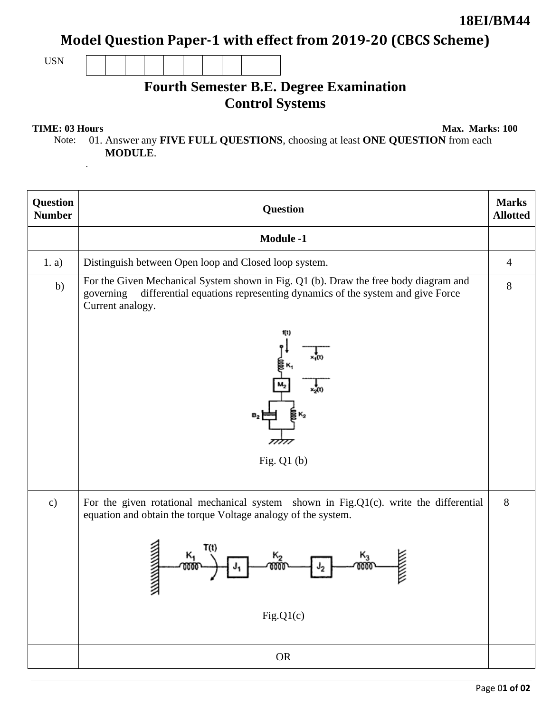Model Question Paper-1 with effect from 2019-20 (CBCS Scheme)

USN

# **Fourth Semester B.E. Degree Examination Control Systems**

.

**TIME: 03 Hours** Max. Marks: 100

Note: 01. Answer any **FIVE FULL QUESTIONS**, choosing at least **ONE QUESTION** from each **MODULE**.

| Question<br><b>Number</b> | <b>Question</b>                                                                                                                                                                                    | <b>Marks</b><br><b>Allotted</b> |
|---------------------------|----------------------------------------------------------------------------------------------------------------------------------------------------------------------------------------------------|---------------------------------|
|                           | <b>Module -1</b>                                                                                                                                                                                   |                                 |
| 1. a)                     | Distinguish between Open loop and Closed loop system.                                                                                                                                              | $\overline{4}$                  |
| b)                        | For the Given Mechanical System shown in Fig. Q1 (b). Draw the free body diagram and<br>differential equations representing dynamics of the system and give Force<br>governing<br>Current analogy. | $8\,$                           |
|                           | Űt)<br>$B_2$<br>Fig. $Q1(b)$                                                                                                                                                                       |                                 |
| $\mathbf{c})$             | For the given rotational mechanical system shown in Fig.Q1(c). write the differential<br>equation and obtain the torque Voltage analogy of the system.<br>T(t)<br>к,<br>к,                         | 8                               |
|                           | ╭<br>Fig.Q1(c)                                                                                                                                                                                     |                                 |
|                           | ${\sf OR}$                                                                                                                                                                                         |                                 |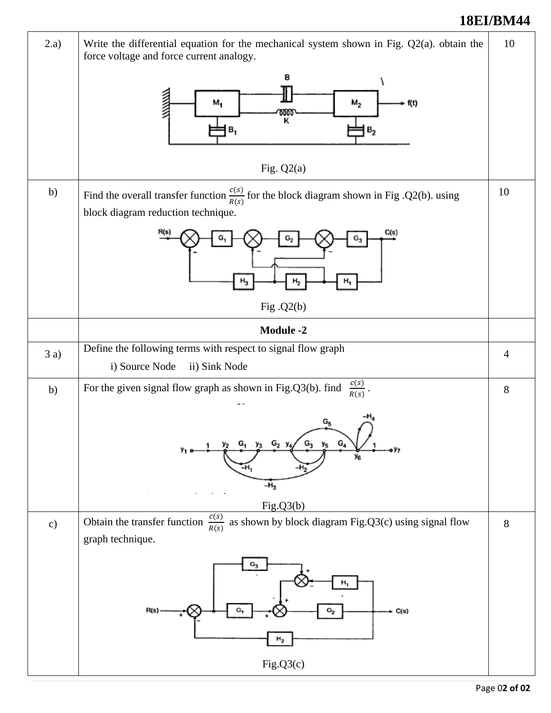### **18EI/BM44**

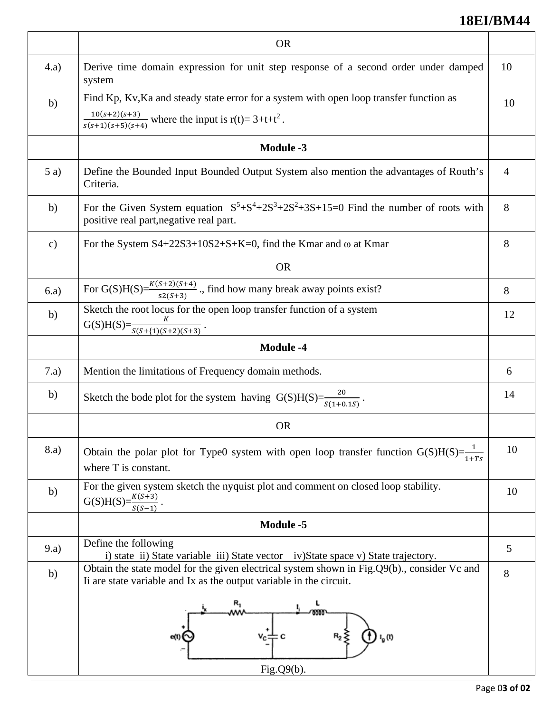## **18EI/BM44**

|               | <b>OR</b>                                                                                                                                                          |                |
|---------------|--------------------------------------------------------------------------------------------------------------------------------------------------------------------|----------------|
| (4.a)         | Derive time domain expression for unit step response of a second order under damped<br>system                                                                      | 10             |
| b)            | Find Kp, Kv, Ka and steady state error for a system with open loop transfer function as                                                                            | 10             |
|               | $\frac{10(s+2)(s+3)}{s(s+1)(s+5)(s+4)}$ where the input is r(t)= 3+t+t <sup>2</sup> .                                                                              |                |
|               | <b>Module -3</b>                                                                                                                                                   |                |
| 5a)           | Define the Bounded Input Bounded Output System also mention the advantages of Routh's<br>Criteria.                                                                 | $\overline{4}$ |
| b)            | For the Given System equation $S^5 + S^4 + 2S^3 + 2S^2 + 3S + 15 = 0$ Find the number of roots with<br>positive real part, negative real part.                     | 8              |
| $\mathbf{c})$ | For the System $S4+22S3+10S2+S+K=0$ , find the Kmar and $\omega$ at Kmar                                                                                           | 8              |
|               | <b>OR</b>                                                                                                                                                          |                |
| 6.a)          | For G(S)H(S)= $\frac{K(S+2)(S+4)}{s2(S+3)}$ ., find how many break away points exist?                                                                              | 8              |
| b)            | Sketch the root locus for the open loop transfer function of a system                                                                                              | 12             |
|               | $G(S)H(S)=\frac{K}{S(S+\{1)(S+2)(S+3)}}$ .                                                                                                                         |                |
|               | <b>Module -4</b>                                                                                                                                                   |                |
| 7.a)          | Mention the limitations of Frequency domain methods.                                                                                                               | 6              |
| b)            | Sketch the bode plot for the system having G(S)H(S)= $\frac{20}{s(1+0.1S)}$ .                                                                                      | 14             |
|               | <b>OR</b>                                                                                                                                                          |                |
| 8.a)          | Obtain the polar plot for Type0 system with open loop transfer function G(S)H(S)= $\frac{1}{1+Ts}$<br>where T is constant.                                         | 10             |
| b)            | For the given system sketch the nyquist plot and comment on closed loop stability.<br>$G(S)H(S) = \frac{K(S+3)}{S(S+3)}$                                           | 10             |
|               | <b>Module -5</b>                                                                                                                                                   |                |
| 9.a)          | Define the following<br>i) state ii) State variable iii) State vector iv) State space v) State trajectory.                                                         | 5              |
| b)            | Obtain the state model for the given electrical system shown in Fig.Q9(b)., consider Vc and<br>Ii are state variable and Ix as the output variable in the circuit. | 8              |
|               | с<br>I <sub>g</sub> (t)<br>Fig. $Q9(b)$ .                                                                                                                          |                |